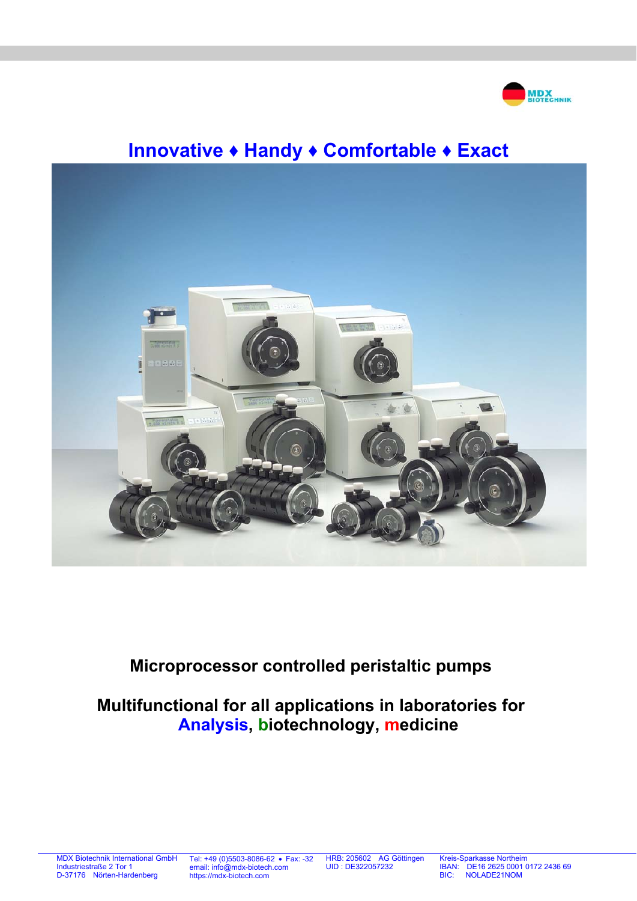

# **Innovative ♦ Handy ♦ Comfortable ♦ Exact**



# **Microprocessor controlled peristaltic pumps**

# **Multifunctional for all applications in laboratories for Analysis, biotechnology, medicine**

Tel: +49 (0)5503-8086-62 Fax: -32 email: info@mdx-biotech.com https://mdx-biotech.com

HRB: 205602 AG Göttingen UID : DE322057232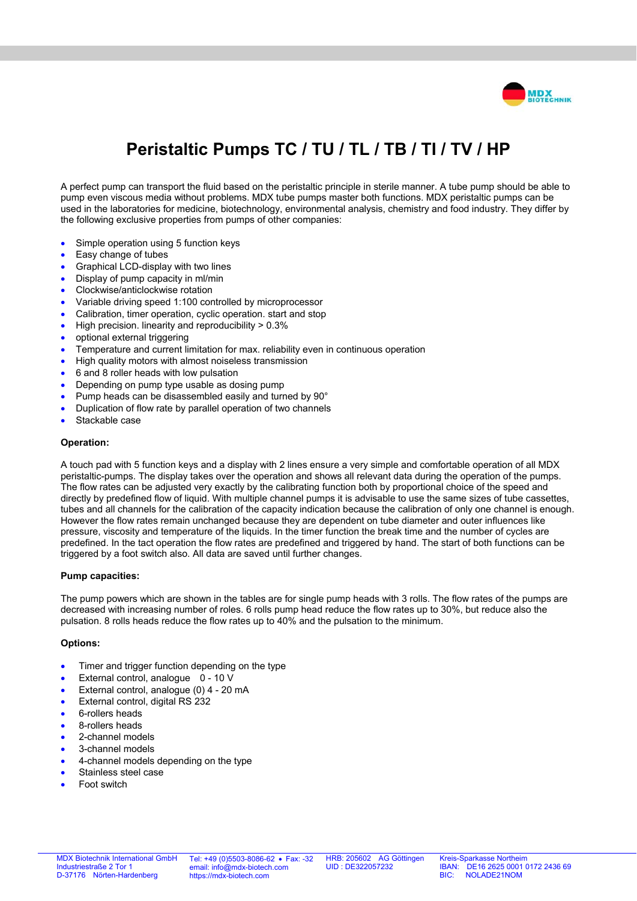

# **Peristaltic Pumps TC / TU / TL / TB / TI / TV / HP**

A perfect pump can transport the fluid based on the peristaltic principle in sterile manner. A tube pump should be able to pump even viscous media without problems. MDX tube pumps master both functions. MDX peristaltic pumps can be used in the laboratories for medicine, biotechnology, environmental analysis, chemistry and food industry. They differ by the following exclusive properties from pumps of other companies:

- Simple operation using 5 function keys
- Easy change of tubes
- Graphical LCD-display with two lines
- Display of pump capacity in ml/min
- Clockwise/anticlockwise rotation
- Variable driving speed 1:100 controlled by microprocessor
- Calibration, timer operation, cyclic operation. start and stop
- High precision. linearity and reproducibility > 0.3%
- optional external triggering
- Temperature and current limitation for max. reliability even in continuous operation
- High quality motors with almost noiseless transmission
- 6 and 8 roller heads with low pulsation
- Depending on pump type usable as dosing pump
- Pump heads can be disassembled easily and turned by 90°
- Duplication of flow rate by parallel operation of two channels
- Stackable case

#### **Operation:**

A touch pad with 5 function keys and a display with 2 lines ensure a very simple and comfortable operation of all MDX peristaltic-pumps. The display takes over the operation and shows all relevant data during the operation of the pumps. The flow rates can be adjusted very exactly by the calibrating function both by proportional choice of the speed and directly by predefined flow of liquid. With multiple channel pumps it is advisable to use the same sizes of tube cassettes, tubes and all channels for the calibration of the capacity indication because the calibration of only one channel is enough. However the flow rates remain unchanged because they are dependent on tube diameter and outer influences like pressure, viscosity and temperature of the liquids. In the timer function the break time and the number of cycles are predefined. In the tact operation the flow rates are predefined and triggered by hand. The start of both functions can be triggered by a foot switch also. All data are saved until further changes.

#### **Pump capacities:**

The pump powers which are shown in the tables are for single pump heads with 3 rolls. The flow rates of the pumps are decreased with increasing number of roles. 6 rolls pump head reduce the flow rates up to 30%, but reduce also the pulsation. 8 rolls heads reduce the flow rates up to 40% and the pulsation to the minimum.

#### **Options:**

- Timer and trigger function depending on the type
- External control, analogue 0 10 V
- External control, analogue (0) 4 20 mA
- External control, digital RS 232
- 6-rollers heads
- 8-rollers heads
- 2-channel models
- 3-channel models
- 4-channel models depending on the type
- Stainless steel case
- Foot switch

Tel: +49 (0)5503-8086-62 • Fax: -32 email: info@mdx-biotech.com https://mdx-biotech.com

HRB: 205602 AG Göttingen UID : DE322057232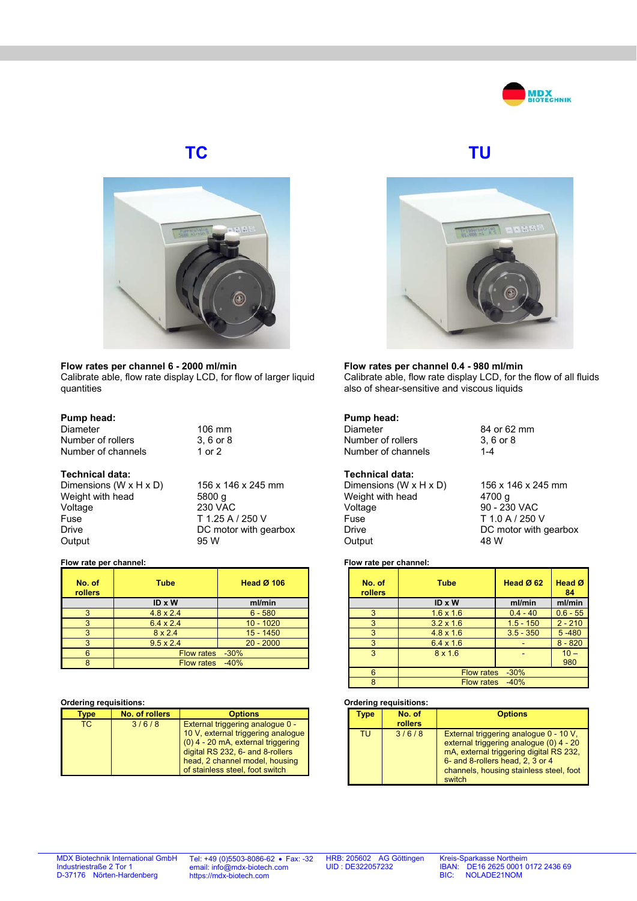



#### **Flow rates per channel 6 - 2000 ml/min**

Calibrate able, flow rate display LCD, for flow of larger liquid quantities

#### **Pump head:**

| Diameter           | $106 \text{ mm}$ |
|--------------------|------------------|
| Number of rollers  | 3.6 or 8         |
| Number of channels | 1 or 2           |

#### **Technical data:**

Dimensions (W x H x D)  $156 \times 146 \times 245$  mm<br>Weight with head 5800 g Weight with head Voltage 230 VAC Fuse T 1.25 A / 250 V Drive DC motor with gearbox Output 95 W

#### **Flow rate per channel:**

| No. of<br>rollers | Tube              | <b>Head Ø 106</b> |
|-------------------|-------------------|-------------------|
|                   | ID x W            | ml/min            |
| 3                 | $4.8 \times 2.4$  | $6 - 580$         |
| 3                 | $6.4 \times 2.4$  | $10 - 1020$       |
| 3                 | $8 \times 2.4$    | $15 - 1450$       |
| 3                 | $9.5 \times 2.4$  | $20 - 2000$       |
| 6                 | Flow rates -30%   |                   |
|                   | <b>Flow rates</b> | $-40%$            |

#### **Ordering requisitions:**

| /be | No. of rollers | <b>Options</b>                                                                                                                                                                                                          |
|-----|----------------|-------------------------------------------------------------------------------------------------------------------------------------------------------------------------------------------------------------------------|
| TC. | 3/6/8          | External triggering analogue 0 -<br>10 V, external triggering analogue<br>$(0)$ 4 - 20 mA, external triggering<br>digital RS 232, 6- and 8-rollers<br>head, 2 channel model, housing<br>of stainless steel, foot switch |





#### **Flow rates per channel 0.4 - 980 ml/min**  Calibrate able, flow rate display LCD, for the flow of all fluids also of shear-sensitive and viscous liquids

**Pump head:**  Number of rollers  $3, 6$ <br>Number of channels  $1-4$ Number of channels

### **Technical data:**

Dimensions (W x H x D)  $156 \times 146 \times 245$  mm<br>Weight with head  $4700 \text{ g}$ Weight with head Voltage 90 - 230 VAC Fuse T 1.0 A / 250 V Drive DC motor with gearbox<br>Output 48 W Output

84 or 62 mm<br>3, 6 or 8

## **Flow rate per channel:**

| No. of<br><b>rollers</b> | <b>Tube</b>                 | Head $Ø$ 62 | Head Ø<br>84 |
|--------------------------|-----------------------------|-------------|--------------|
|                          | ID x W                      | ml/min      | ml/min       |
| 3                        | $1.6 \times 1.6$            | $0.4 - 40$  | $0.6 - 55$   |
| 3                        | $3.2 \times 1.6$            | $1.5 - 150$ | $2 - 210$    |
| 3                        | $4.8 \times 1.6$            | $3.5 - 350$ | $5 - 480$    |
| 3                        | $6.4 \times 1.6$            |             | $8 - 820$    |
| 3                        | $8 \times 1.6$              |             | $10 -$       |
|                          |                             |             | 980          |
| 6                        | <b>Flow rates</b><br>$-30%$ |             |              |
| R                        | $-40%$<br><b>Flow rates</b> |             |              |

#### **Ordering requisitions:**

| <b>VDe</b> | No. of<br><b>rollers</b> | <b>Options</b>                                                                                                                                                                                                        |
|------------|--------------------------|-----------------------------------------------------------------------------------------------------------------------------------------------------------------------------------------------------------------------|
| TU         | 3/6/8                    | External triggering analogue 0 - 10 V.<br>external triggering analogue (0) 4 - 20<br>mA, external triggering digital RS 232,<br>6- and 8-rollers head, 2, 3 or 4<br>channels, housing stainless steel, foot<br>switch |

MDX Biotechnik International GmbH Industriestraße 2 Tor 1 D-37176 Nörten-Hardenberg

Tel: +49 (0)5503-8086-62 Fax: -32 email: info@mdx-biotech.com https://mdx-biotech.com

HRB: 205602 AG Göttingen UID : DE322057232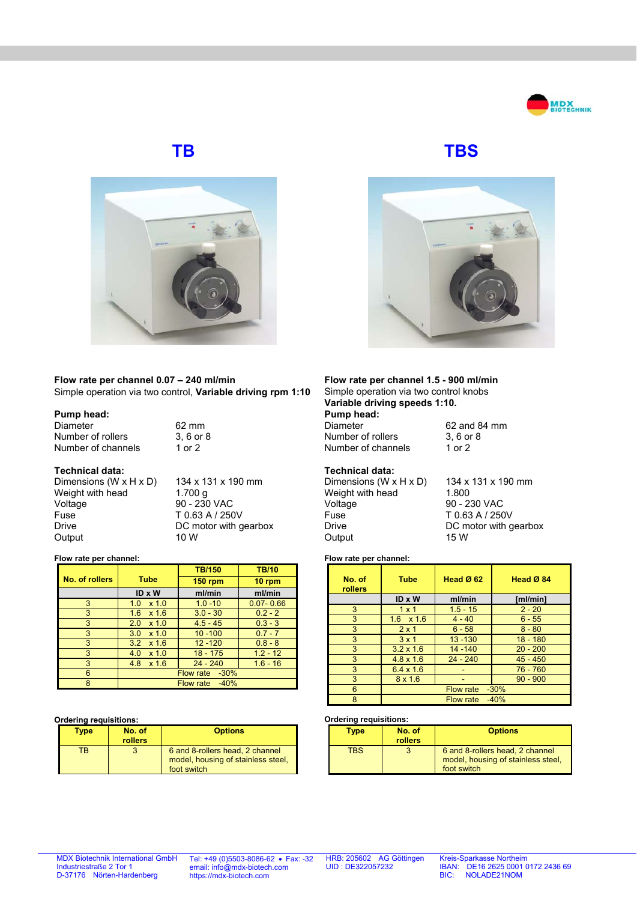



**Flow rate per channel 0.07 – 240 ml/min**  Simple operation via two control, **Variable driving rpm 1:10**

### **Pump head:**

Diameter 62 mm<br>Number of rollers 3, 6 or 8 Number of rollers Number of channels 1 or 2

#### **Technical data:**

Dimensions  $(W \times H \times D)$  134 x 131 x 190 mm<br>Weight with head 1.700 g Weight with head Voltage 90 - 230 VAC<br>
Fuse T 0.63 A / 250 Fuse T 0.63 A / 250V<br>Drive DC motor with a Output 10 W

DC motor with gearbox

#### **Flow rate per channel:**

|                |                      | <b>TB/150</b>  | <b>TB/10</b>  |
|----------------|----------------------|----------------|---------------|
| No. of rollers | <b>Tube</b>          | <b>150 rpm</b> | 10 rpm        |
|                | ID x W               | ml/min         | ml/min        |
| 3              | $x$ 1.0<br>1.0       | $1.0 - 10$     | $0.07 - 0.66$ |
| 3              | 1.6<br>$x$ 1.6       | $3.0 - 30$     | $0.2 - 2$     |
| 3              | $x$ 1.0<br>2.0       | $4.5 - 45$     | $0.3 - 3$     |
| 3              | 3.0<br>$x$ 1.0       | $10 - 100$     | $0.7 - 7$     |
| 3              | 3.2<br>$x$ 1.6       | $12 - 120$     | $0.8 - 8$     |
| 3              | 4.0<br>$x$ 1.0       | $18 - 175$     | $1.2 - 12$    |
| 3              | 4.8<br>$x$ 1.6       | $24 - 240$     | $1.6 - 16$    |
| 6              | Flow rate<br>$-30\%$ |                |               |
| 8              | $-40%$<br>Flow rate  |                |               |

#### **Ordering requisitions:**

| Type | No. of<br><b>rollers</b> | <b>Options</b>                                                                       |
|------|--------------------------|--------------------------------------------------------------------------------------|
| ТR   | ર                        | 6 and 8-rollers head, 2 channel<br>model, housing of stainless steel,<br>foot switch |

**TB TBS** 



#### **Flow rate per channel 1.5 - 900 ml/min**  Simple operation via two control knobs **Variable driving speeds 1:10.**

**Pump head:**  Diameter 62 and 84 mm<br>Number of rollers 3, 6 or 8 Number of rollers Number of channels 1 or 2

#### **Technical data:**

Dimensions  $(W \times H \times D)$  134 x 131 x 190 mm Weight with head 1.800 Voltage 90 - 230 VAC<br>
Fuse T 0.63 A / 250 Fuse T 0.63 A / 250V<br>Drive DC motor with a Output 15 W

DC motor with gearbox

## **Flow rate per channel:**

| No. of<br><b>rollers</b> | <b>Tube</b>      | Head $@62$       | Head Ø 84  |
|--------------------------|------------------|------------------|------------|
|                          | ID x W           | ml/min           | [ml/min]   |
| 3                        | $1 \times 1$     | $1.5 - 15$       | $2 - 20$   |
| 3                        | $1.6 \times 1.6$ | $4 - 40$         | $6 - 55$   |
| 3                        | $2 \times 1$     | $6 - 58$         | $8 - 80$   |
| 3                        | $3 \times 1$     | $13 - 130$       | $18 - 180$ |
| 3                        | $3.2 \times 1.6$ | $14 - 140$       | $20 - 200$ |
| 3                        | $4.8 \times 1.6$ | $24 - 240$       | $45 - 450$ |
| 3                        | $6.4 \times 1.6$ |                  | $76 - 760$ |
| 3                        | $8 \times 1.6$   |                  | $90 - 900$ |
| 6                        |                  | <b>Flow rate</b> | $-30%$     |
| 8                        |                  | Flow rate        | $-40%$     |

#### **Ordering requisitions:**

| Type | No. of<br><b>rollers</b> | <b>Options</b>                                                                       |
|------|--------------------------|--------------------------------------------------------------------------------------|
| TRS  |                          | 6 and 8-rollers head, 2 channel<br>model, housing of stainless steel,<br>foot switch |

Tel: +49 (0)5503-8086-62 • Fax: -32 email: info@mdx-biotech.com https://mdx-biotech.com

HRB: 205602 AG Göttingen UID : DE322057232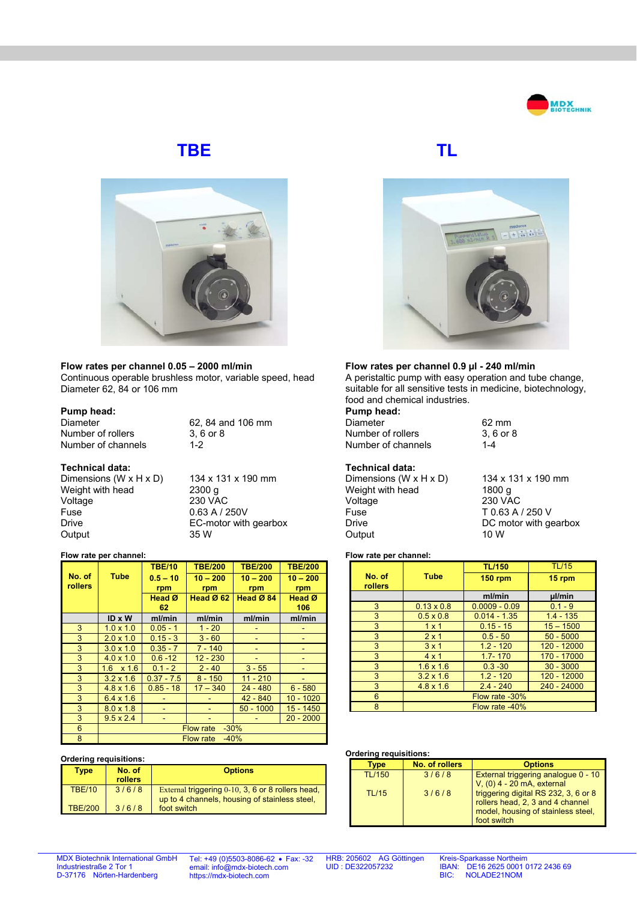

# **TBE TL**



**Flow rates per channel 0.05 – 2000 ml/min** 

Continuous operable brushless motor, variable speed, head Diameter 62, 84 or 106 mm

#### **Pump head:**

Diameter 62, 84 and 106 mm<br>Number of rollers 3, 6 or 8 Number of rollers Number of channels 1-2

**Technical data:**  Dimensions  $(W \times H \times D)$  134 x 131 x 190 mm Weight with head 2300 g Voltage 230 VAC Fuse 0.63 A / 250V<br>Drive FC-motor with Output 35 W

EC-motor with gearbox

#### **Flow rate per channel:**

|         |                            | <b>TBE/10</b> | <b>TBE/200</b> | <b>TBE/200</b> | <b>TBE/200</b>    |
|---------|----------------------------|---------------|----------------|----------------|-------------------|
| No. of  | <b>Tube</b>                | $0.5 - 10$    | $10 - 200$     | $10 - 200$     | $10 - 200$        |
| rollers |                            | rpm           | rpm            | rpm            | rpm               |
|         |                            | Head Ø        | Head Ø 62      | Head Ø 84      | Head <sup>Ø</sup> |
|         |                            | 62            |                |                | 106               |
|         | $ID \times W$              | ml/min        | ml/min         | ml/min         | ml/min            |
| 3       | $1.0 \times 1.0$           | $0.05 - 1$    | $1 - 20$       |                |                   |
| 3       | $2.0 \times 1.0$           | $0.15 - 3$    | $3 - 60$       |                |                   |
| 3       | $3.0 \times 1.0$           | $0.35 - 7$    | $7 - 140$      |                |                   |
| 3       | $4.0 \times 1.0$           | $0.6 - 12$    | $12 - 230$     |                |                   |
| 3       | $1.6 \times 1.6$           | $0.1 - 2$     | $2 - 40$       | $3 - 55$       |                   |
| 3       | $3.2 \times 1.6$           | $0.37 - 7.5$  | $8 - 150$      | $11 - 210$     |                   |
| 3       | $4.8 \times 1.6$           | $0.85 - 18$   | $17 - 340$     | $24 - 480$     | $6 - 580$         |
| 3       | $6.4 \times 1.6$           |               |                | $42 - 840$     | $10 - 1020$       |
| 3       | $8.0 \times 1.8$           |               |                | $50 - 1000$    | 15 - 1450         |
| 3       | $9.5 \times 2.4$           |               |                |                | $20 - 2000$       |
| 6       | $-30%$<br><b>Flow rate</b> |               |                |                |                   |
| 8       | $-40%$<br><b>Flow rate</b> |               |                |                |                   |

#### **Ordering requisitions: Type No. of**

| Type           | No. of<br>rollers | <b>Options</b>                                                                                     |
|----------------|-------------------|----------------------------------------------------------------------------------------------------|
| <b>TBE/10</b>  | 3/6/8             | External triggering 0-10, 3, 6 or 8 rollers head,<br>up to 4 channels, housing of stainless steel, |
| <b>TBE/200</b> | 3/6/8             | foot switch                                                                                        |



# **Flow rates per channel 0.9 µl - 240 ml/min**

A peristaltic pump with easy operation and tube change, suitable for all sensitive tests in medicine, biotechnology, food and chemical industries.

**Pump head:**  Diameter 62 mm<br>Number of rollers 62 mm<br>3, 6 or 8 Number of rollers Number of channels 1-4

### **Technical data:**

Dimensions (W x H x D)  $134 \times 131 \times 190$  mm<br>Weight with head  $1800 \text{ g}$ Weight with head Voltage 230 VAC<br>Fuse T 0.63 A Fuse T 0.63 A / 250 V<br>DC motor with a **Output** 

DC motor with gearbox<br>10 W

### **Flow rate per channel:**

|                   |                   | <b>TL/150</b>   | <b>TL/15</b> |
|-------------------|-------------------|-----------------|--------------|
| No. of<br>rollers | <b>Tube</b>       | <b>150 rpm</b>  | 15 rpm       |
|                   |                   | ml/min          | µl/min       |
| 3                 | $0.13 \times 0.8$ | $0.0009 - 0.09$ | $0.1 - 9$    |
| 3                 | $0.5 \times 0.8$  | $0.014 - 1.35$  | $1.4 - 135$  |
| 3                 | $1 \times 1$      | $0.15 - 15$     | $15 - 1500$  |
| 3                 | $2 \times 1$      | $0.5 - 50$      | $50 - 5000$  |
| 3                 | $3 \times 1$      | $1.2 - 120$     | 120 - 12000  |
| 3                 | $4 \times 1$      | $1.7 - 170$     | 170 - 17000  |
| 3                 | $1.6 \times 1.6$  | $0.3 - 30$      | $30 - 3000$  |
| 3                 | $3.2 \times 1.6$  | $1.2 - 120$     | 120 - 12000  |
| 3                 | $4.8 \times 1.6$  | $2.4 - 240$     | 240 - 24000  |
| 6                 | Flow rate -30%    |                 |              |
| 8                 | Flow rate -40%    |                 |              |

## **Ordering requisitions:**

| 5.8011119104415110113. |                |                                                                                                                               |  |  |
|------------------------|----------------|-------------------------------------------------------------------------------------------------------------------------------|--|--|
| Tvpe                   | No. of rollers | <b>Options</b>                                                                                                                |  |  |
| <b>TL/150</b>          | 3/6/8          | External triggering analogue 0 - 10<br>$V1(0)$ 4 - 20 mA, external                                                            |  |  |
| <b>TL/15</b>           | 3/6/8          | triggering digital RS 232, 3, 6 or 8<br>rollers head, 2, 3 and 4 channel<br>model, housing of stainless steel,<br>foot switch |  |  |

MDX Biotechnik International GmbH Industriestraße 2 Tor 1 D-37176 Nörten-Hardenberg

Tel: +49 (0)5503-8086-62 • Fax: -32 email: info@mdx-biotech.com https://mdx-biotech.com

HRB: 205602 AG Göttingen UID : DE322057232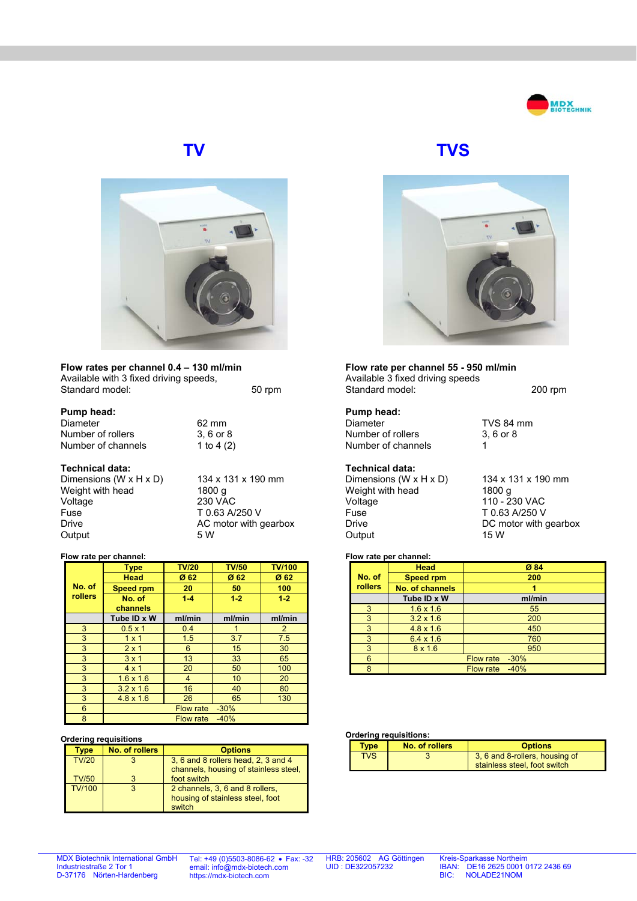



**Flow rates per channel 0.4 – 130 ml/min**  Available with 3 fixed driving speeds, Standard model: 50 rpm

### **Pump head:**

| .                  |              |
|--------------------|--------------|
| Diameter           | 62 mm        |
| Number of rollers  | 3.6 or 8     |
| Number of channels | 1 to 4 $(2)$ |

#### **Technical data:**

Dimensions (W x H x D)  $134 \times 131 \times 190$  mm<br>Weight with head  $1800$  g Weight with head Voltage 230 VAC Fuse T 0.63 A/250 V<br>Drive AC motor with a Output

AC motor with gearbox<br>5 W

#### **Flow rate per channel:**

|                | <b>Type</b>                | <b>TV/20</b>     | <b>TV/50</b> | <b>TV/100</b>  |
|----------------|----------------------------|------------------|--------------|----------------|
|                | <b>Head</b>                | Ø 62             | Ø 62         | Ø 62           |
| No. of         | <b>Speed rpm</b>           | 20               | 50           | 100            |
| <b>rollers</b> | No. of                     | $1 - 4$          | $1 - 2$      | $1 - 2$        |
|                | channels                   |                  |              |                |
|                | Tube ID x W                | ml/min           | ml/min       | ml/min         |
| 3              | $0.5 \times 1$             | 0.4              |              | $\overline{2}$ |
| 3              | $1 \times 1$               | 1.5              | 3.7          | 7.5            |
| 3              | $2 \times 1$               | 6                | 15           | 30             |
| 3              | $3 \times 1$               | 13               | 33           | 65             |
| 3              | $4 \times 1$               | 20               | 50           | 100            |
| 3              | $1.6 \times 1.6$           | $\overline{4}$   | 10           | 20             |
| 3              | $3.2 \times 1.6$           | 16               | 40           | 80             |
| 3              | $4.8 \times 1.6$           | 26               | 65           | 130            |
| 6              | <b>Flow rate</b><br>$-30%$ |                  |              |                |
| 8              |                            | <b>Flow rate</b> | $-40%$       |                |

#### **Ordering requisitions**

| vpe           | No. of rollers | <b>Options</b>                        |
|---------------|----------------|---------------------------------------|
| <b>TV/20</b>  |                | 3, 6 and 8 rollers head, 2, 3 and 4   |
|               |                | channels, housing of stainless steel, |
| <b>TV/50</b>  |                | foot switch                           |
| <b>TV/100</b> |                | 2 channels, 3, 6 and 8 rollers,       |
|               |                | housing of stainless steel, foot      |
|               |                | switch                                |

**TV TVS**



**Flow rate per channel 55 - 950 ml/min**  Available 3 fixed driving speeds Standard model: 200 rpm

#### **Pump head:**  Diameter TVS 84 mm Number of rollers 3, 6 or 8 Number of channels 1

# **Technical data:**

Dimensions (W x H x D) 134 x 131 x 190 mm<br>Weight with head 1800 g Weight with head Voltage 110 - 230 VAC<br>Fuse 110 - 10.63 A/250 V Fuse T 0.63 A/250 V<br>Drive DC motor with Output

DC motor with gearbox<br>15 W

### **Flow rate per channel:**

|         | Head                   | Ø 84                       |
|---------|------------------------|----------------------------|
| No. of  | <b>Speed rpm</b>       | 200                        |
| rollers | <b>No. of channels</b> |                            |
|         | Tube ID x W            | ml/min                     |
| 3       | $1.6 \times 1.6$       | 55                         |
| 3       | $3.2 \times 1.6$       | 200                        |
| 3       | $4.8 \times 1.6$       | 450                        |
| 3       | $6.4 \times 1.6$       | 760                        |
| 3       | $8 \times 1.6$         | 950                        |
| 6       |                        | <b>Flow rate</b><br>$-30%$ |
| 8       |                        | $-40%$<br><b>Flow rate</b> |

#### **Ordering requisitions:**

| <b>Type</b> | No. of rollers | <b>Options</b>                                                 |
|-------------|----------------|----------------------------------------------------------------|
| <b>TVS</b>  |                | 3, 6 and 8-rollers, housing of<br>stainless steel, foot switch |

MDX Biotechnik International GmbH Industriestraße 2 Tor 1 D-37176 Nörten-Hardenberg

Tel: +49 (0)5503-8086-62 • Fax: -32 email: info@mdx-biotech.com https://mdx-biotech.com

HRB: 205602 AG Göttingen UID : DE322057232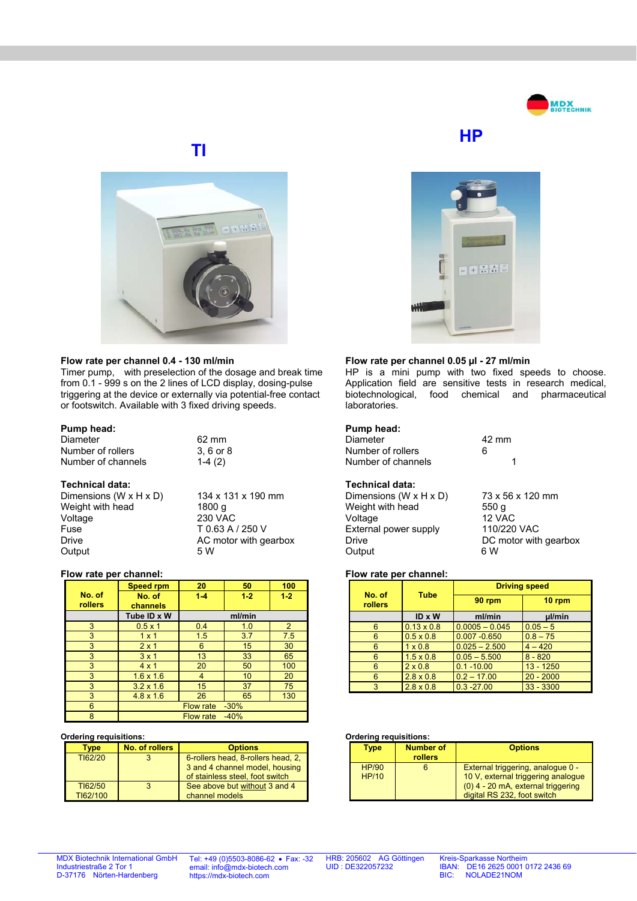

# **TI**



#### **Flow rate per channel 0.4 - 130 ml/min**

Timer pump, with preselection of the dosage and break time from 0.1 - 999 s on the 2 lines of LCD display, dosing-pulse triggering at the device or externally via potential-free contact or footswitch. Available with 3 fixed driving speeds.

> 62 mm  $3, 6$  or  $8$  $1-4(2)$

#### **Pump head:**

| Diameter           |  |
|--------------------|--|
| Number of rollers  |  |
| Number of channels |  |

#### **Technical data:**

| 134 x 131 x 190 mm    |
|-----------------------|
| 1800 g                |
| <b>230 VAC</b>        |
| T 0.63 A / 250 V      |
| AC motor with gearbox |
| 5 W                   |
|                       |

#### **Flow rate per channel:**

|                | <b>Speed rpm</b>           | 20               | 50      | 100     |
|----------------|----------------------------|------------------|---------|---------|
| No. of         | No. of                     | $1-4$            | $1 - 2$ | $1 - 2$ |
| <b>rollers</b> | channels                   |                  |         |         |
|                | Tube ID x W                |                  | ml/min  |         |
| 3              | $0.5 \times 1$             | 0.4              | 1.0     | 2       |
| 3              | $1 \times 1$               | 1.5              | 3.7     | 7.5     |
| 3              | $2 \times 1$               | 6                | 15      | 30      |
| 3              | $3 \times 1$               | 13               | 33      | 65      |
| 3              | $4 \times 1$               | 20               | 50      | 100     |
| 3              | $1.6 \times 1.6$           | $\overline{4}$   | 10      | 20      |
| 3              | $3.2 \times 1.6$           | 15               | 37      | 75      |
| 3              | $4.8 \times 1.6$           | 26               | 65      | 130     |
| 6              |                            | <b>Flow rate</b> | $-30%$  |         |
| 8              | $-40%$<br><b>Flow rate</b> |                  |         |         |

#### **Ordering requisitions:**

| Tvpe                | No. of rollers | <b>Options</b>                                                                                          |
|---------------------|----------------|---------------------------------------------------------------------------------------------------------|
| TI62/20             |                | 6-rollers head, 8-rollers head, 2,<br>3 and 4 channel model, housing<br>of stainless steel, foot switch |
| T162/50<br>TI62/100 |                | See above but without 3 and 4<br>channel models                                                         |





### **Flow rate per channel 0.05 µl - 27 ml/min**

HP is a mini pump with two fixed speeds to choose. Application field are sensitive tests in research medical, biotechnological, food chemical and pharmaceutical laboratories.

#### **Pump head:**

| Diameter           | $42 \text{ mm}$ |  |
|--------------------|-----------------|--|
| Number of rollers  | ี               |  |
| Number of channels |                 |  |

## **Technical data:**

| Dimensions (W x H x D) | 73 x            |
|------------------------|-----------------|
| Weight with head       | 550             |
| Voltage                | 12V             |
| External power supply  | 110/            |
| Drive                  | DC <sub>1</sub> |
| Output                 | 6 W             |

73 x 56 x 120 mm  $550 g$ 12 VAC 110/220 VAC DC motor with gearbox<br>6 W

#### **Flow rate per channel:**

| No. of<br>rollers | <b>Tube</b>       | <b>Driving speed</b> |             |
|-------------------|-------------------|----------------------|-------------|
|                   |                   | 90 rpm               | 10 rpm      |
|                   | $ID \times W$     | ml/min               | µl/min      |
| 6                 | $0.13 \times 0.8$ | $0.0005 - 0.045$     | $0.05 - 5$  |
| 6                 | $0.5 \times 0.8$  | $0.007 - 0.650$      | $0.8 - 75$  |
| 6                 | $1 \times 0.8$    | $0.025 - 2.500$      | $4 - 420$   |
| 6                 | $1.5 \times 0.8$  | $0.05 - 5.500$       | $8 - 820$   |
| 6                 | $2 \times 0.8$    | $0.1 - 10.00$        | $13 - 1250$ |
| 6                 | $2.8 \times 0.8$  | $0.2 - 17.00$        | $20 - 2000$ |
| 3                 | $2.8 \times 0.8$  | $0.3 - 27.00$        | $33 - 3300$ |

#### **Ordering requisitions:**

| Type                         | <b>Number of</b><br><b>rollers</b> | <b>Options</b>                                                                                                                               |
|------------------------------|------------------------------------|----------------------------------------------------------------------------------------------------------------------------------------------|
| <b>HP/90</b><br><b>HP/10</b> |                                    | External triggering, analogue 0 -<br>10 V, external triggering analogue<br>(0) 4 - 20 mA, external triggering<br>digital RS 232, foot switch |

MDX Biotechnik International GmbH Industriestraße 2 Tor 1 D-37176 Nörten-Hardenberg

Tel: +49 (0)5503-8086-62 • Fax: -32 email: info@mdx-biotech.com https://mdx-biotech.com

HRB: 205602 AG Göttingen UID : DE322057232